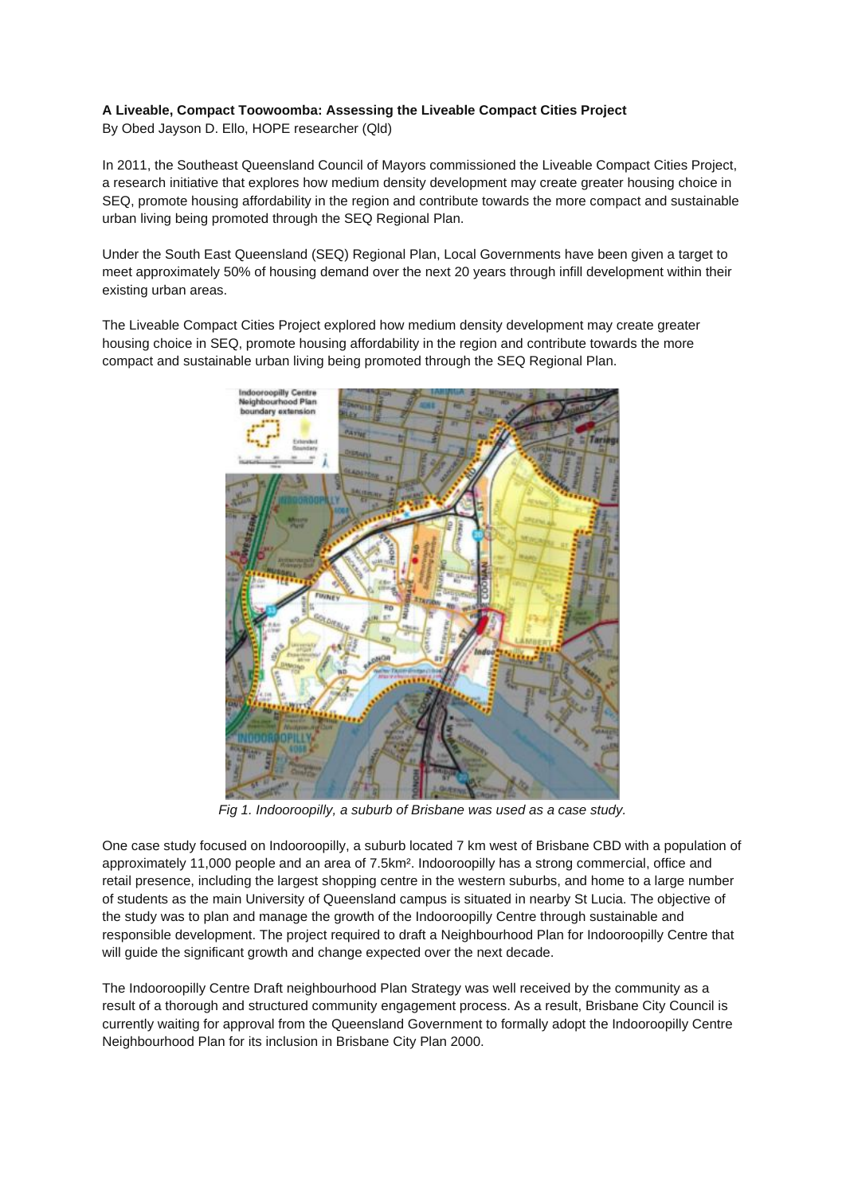## **A Liveable, Compact Toowoomba: Assessing the Liveable Compact Cities Project**

By Obed Jayson D. Ello, HOPE researcher (Qld)

In 2011, the Southeast Queensland Council of Mayors commissioned the Liveable Compact Cities Project, a research initiative that explores how medium density development may create greater housing choice in SEQ, promote housing affordability in the region and contribute towards the more compact and sustainable urban living being promoted through the SEQ Regional Plan.

Under the South East Queensland (SEQ) Regional Plan, Local Governments have been given a target to meet approximately 50% of housing demand over the next 20 years through infill development within their existing urban areas.

The Liveable Compact Cities Project explored how medium density development may create greater housing choice in SEQ, promote housing affordability in the region and contribute towards the more compact and sustainable urban living being promoted through the SEQ Regional Plan.



*Fig 1. Indooroopilly, a suburb of Brisbane was used as a case study.* 

One case study focused on Indooroopilly, a suburb located 7 km west of Brisbane CBD with a population of approximately 11,000 people and an area of 7.5km². Indooroopilly has a strong commercial, office and retail presence, including the largest shopping centre in the western suburbs, and home to a large number of students as the main University of Queensland campus is situated in nearby St Lucia. The objective of the study was to plan and manage the growth of the Indooroopilly Centre through sustainable and responsible development. The project required to draft a Neighbourhood Plan for Indooroopilly Centre that will guide the significant growth and change expected over the next decade.

The Indooroopilly Centre Draft neighbourhood Plan Strategy was well received by the community as a result of a thorough and structured community engagement process. As a result, Brisbane City Council is currently waiting for approval from the Queensland Government to formally adopt the Indooroopilly Centre Neighbourhood Plan for its inclusion in Brisbane City Plan 2000.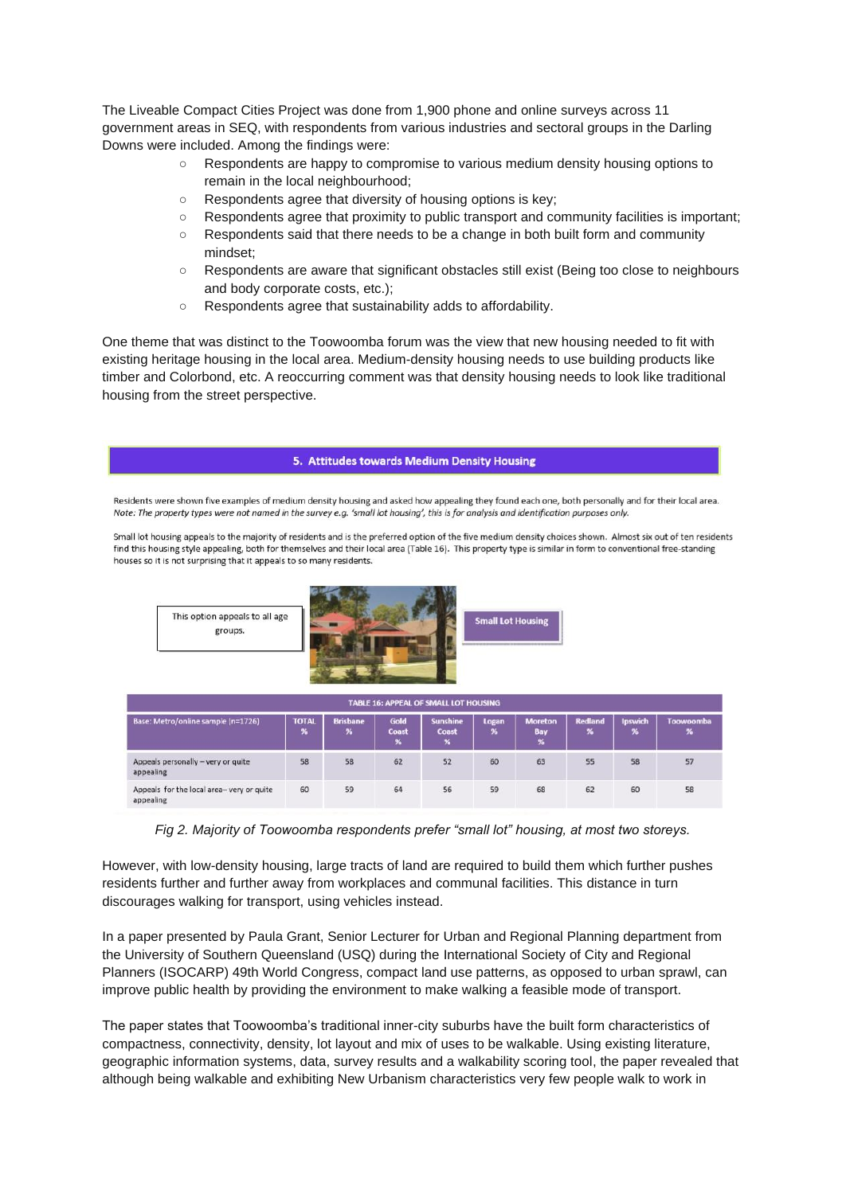The Liveable Compact Cities Project was done from 1,900 phone and online surveys across 11 government areas in SEQ, with respondents from various industries and sectoral groups in the Darling Downs were included. Among the findings were:

- Respondents are happy to compromise to various medium density housing options to remain in the local neighbourhood;
- Respondents agree that diversity of housing options is key;
- Respondents agree that proximity to public transport and community facilities is important;
- Respondents said that there needs to be a change in both built form and community mindset;
- Respondents are aware that significant obstacles still exist (Being too close to neighbours and body corporate costs, etc.);
- Respondents agree that sustainability adds to affordability.

One theme that was distinct to the Toowoomba forum was the view that new housing needed to fit with existing heritage housing in the local area. Medium-density housing needs to use building products like timber and Colorbond, etc. A reoccurring comment was that density housing needs to look like traditional housing from the street perspective.



*Fig 2. Majority of Toowoomba respondents prefer "small lot" housing, at most two storeys.*

However, with low-density housing, large tracts of land are required to build them which further pushes residents further and further away from workplaces and communal facilities. This distance in turn discourages walking for transport, using vehicles instead.

In a paper presented by Paula Grant, Senior Lecturer for Urban and Regional Planning department from the University of Southern Queensland (USQ) during the International Society of City and Regional Planners (ISOCARP) 49th World Congress, compact land use patterns, as opposed to urban sprawl, can improve public health by providing the environment to make walking a feasible mode of transport.

The paper states that Toowoomba's traditional inner-city suburbs have the built form characteristics of compactness, connectivity, density, lot layout and mix of uses to be walkable. Using existing literature, geographic information systems, data, survey results and a walkability scoring tool, the paper revealed that although being walkable and exhibiting New Urbanism characteristics very few people walk to work in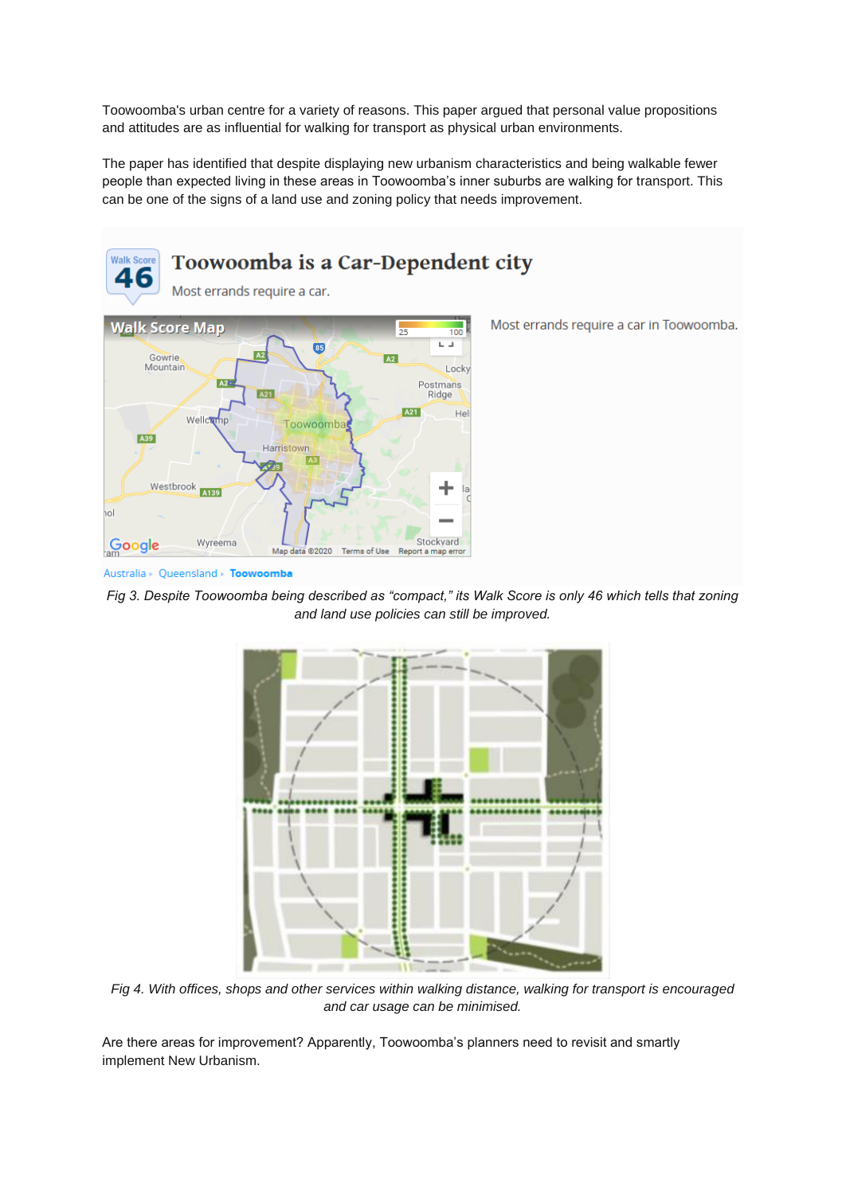Toowoomba's urban centre for a variety of reasons. This paper argued that personal value propositions and attitudes are as influential for walking for transport as physical urban environments.

The paper has identified that despite displaying new urbanism characteristics and being walkable fewer people than expected living in these areas in Toowoomba's inner suburbs are walking for transport. This can be one of the signs of a land use and zoning policy that needs improvement.



Most errands require a car in Toowoomba.

Australia > Queensland > Toowoomba

*Fig 3. Despite Toowoomba being described as "compact," its Walk Score is only 46 which tells that zoning and land use policies can still be improved.*



*Fig 4. With offices, shops and other services within walking distance, walking for transport is encouraged and car usage can be minimised.*

Are there areas for improvement? Apparently, Toowoomba's planners need to revisit and smartly implement New Urbanism.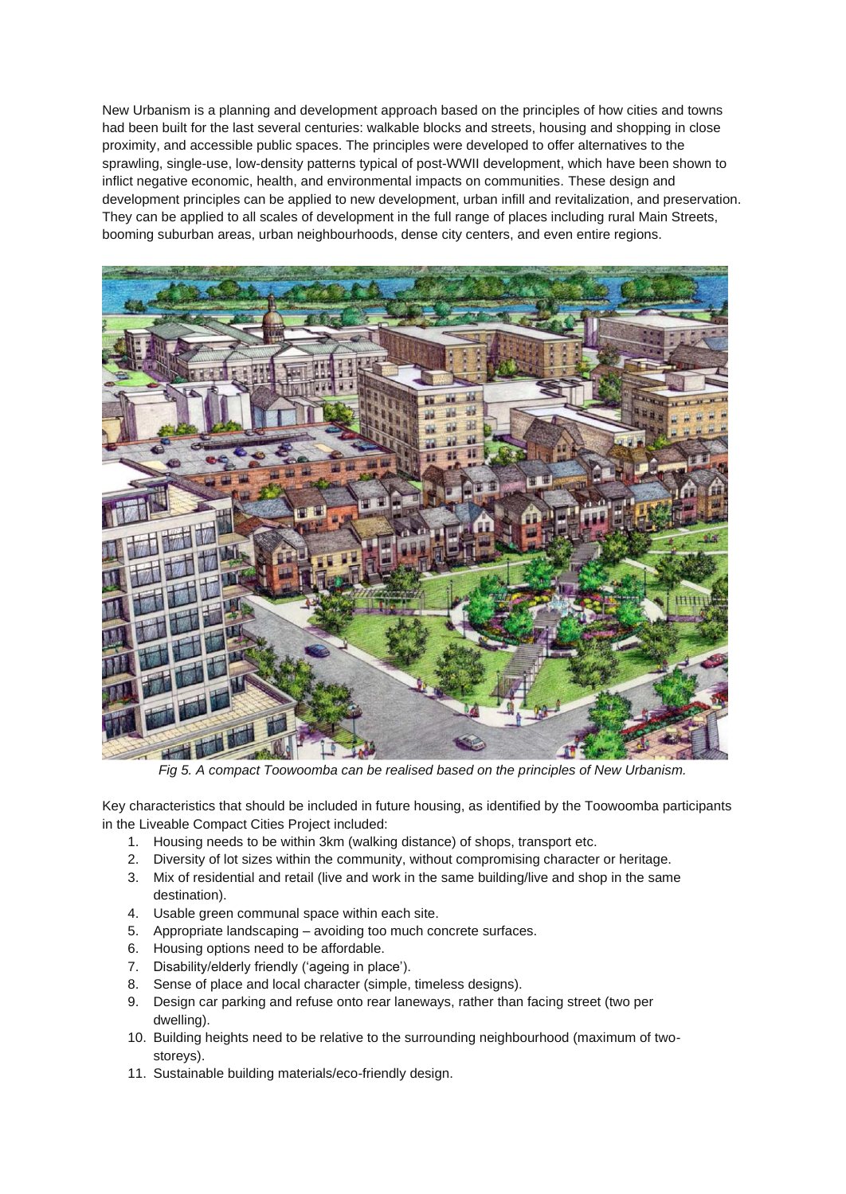New Urbanism is a planning and development approach based on the principles of how cities and towns had been built for the last several centuries: walkable blocks and streets, housing and shopping in close proximity, and accessible public spaces. The principles were developed to offer alternatives to the sprawling, single-use, low-density patterns typical of post-WWII development, which have been shown to inflict negative economic, health, and environmental impacts on communities. These design and development principles can be applied to new development, urban infill and revitalization, and preservation. They can be applied to all scales of development in the full range of places including rural Main Streets, booming suburban areas, urban neighbourhoods, dense city centers, and even entire regions.



*Fig 5. A compact Toowoomba can be realised based on the principles of New Urbanism.*

Key characteristics that should be included in future housing, as identified by the Toowoomba participants in the Liveable Compact Cities Project included:

- 1. Housing needs to be within 3km (walking distance) of shops, transport etc.
- 2. Diversity of lot sizes within the community, without compromising character or heritage.
- 3. Mix of residential and retail (live and work in the same building/live and shop in the same destination).
- 4. Usable green communal space within each site.
- 5. Appropriate landscaping avoiding too much concrete surfaces.
- 6. Housing options need to be affordable.
- 7. Disability/elderly friendly ('ageing in place').
- 8. Sense of place and local character (simple, timeless designs).
- 9. Design car parking and refuse onto rear laneways, rather than facing street (two per dwelling).
- 10. Building heights need to be relative to the surrounding neighbourhood (maximum of twostoreys).
- 11. Sustainable building materials/eco-friendly design.